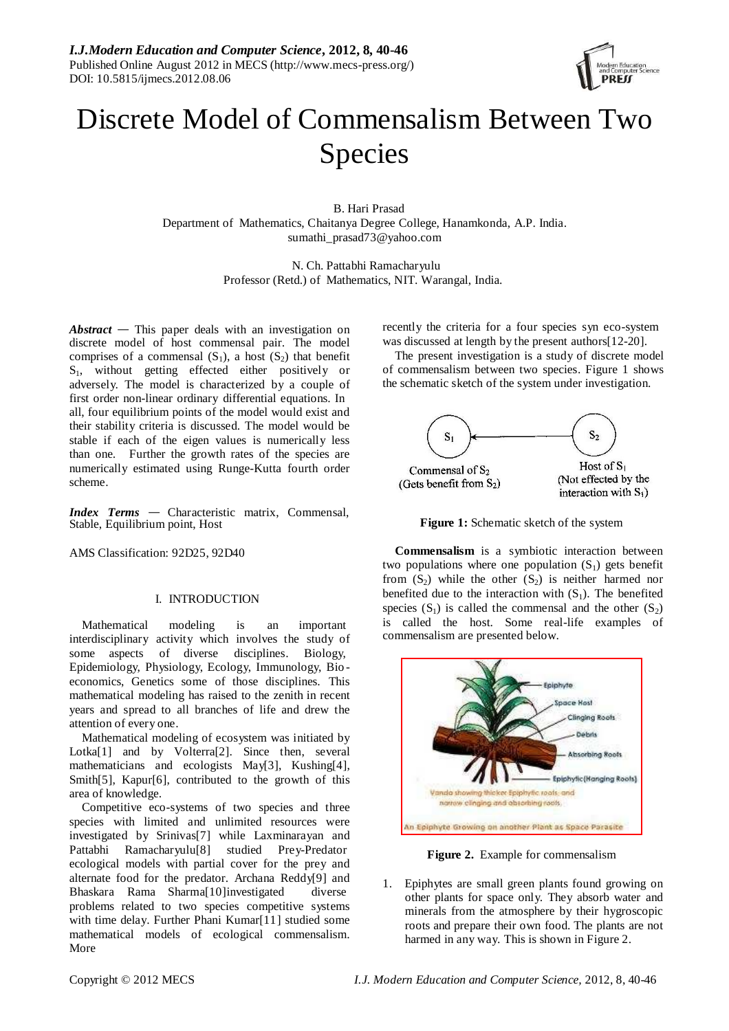

# Discrete Model of Commensalism Between Two Species

B. Hari Prasad Department of Mathematics, Chaitanya Degree College, Hanamkonda, A.P. India. sumathi\_prasad73@yahoo.com

> N. Ch. Pattabhi Ramacharyulu Professor (Retd.) of Mathematics, NIT. Warangal, India.

*Abstract* — This paper deals with an investigation on discrete model of host commensal pair. The model comprises of a commensal  $(S_1)$ , a host  $(S_2)$  that benefit S<sub>1</sub>, without getting effected either positively or adversely. The model is characterized by a couple of first order non-linear ordinary differential equations. In all, four equilibrium points of the model would exist and their stability criteria is discussed. The model would be stable if each of the eigen values is numerically less than one. Further the growth rates of the species are numerically estimated using Runge-Kutta fourth order scheme.

*Index Terms* — Characteristic matrix, Commensal, Stable, Equilibrium point, Host

AMS Classification: 92D25, 92D40

# I. INTRODUCTION

Mathematical modeling is an important interdisciplinary activity which involves the study of some aspects of diverse disciplines. Biology, Epidemiology, Physiology, Ecology, Immunology, Bio economics, Genetics some of those disciplines. This mathematical modeling has raised to the zenith in recent years and spread to all branches of life and drew the attention of every one.

Mathematical modeling of ecosystem was initiated by Lotka<sup>[1]</sup> and by Volterra<sup>[2]</sup>. Since then, several mathematicians and ecologists May<sup>[3]</sup>, Kushing<sup>[4]</sup>, Smith[5], Kapur[6], contributed to the growth of this area of knowledge.

Competitive eco-systems of two species and three species with limited and unlimited resources were investigated by Srinivas[7] while Laxminarayan and Pattabhi Ramacharyulu[8] studied Prey-Predator ecological models with partial cover for the prey and alternate food for the predator. Archana Reddy[9] and Bhaskara Rama Sharma[10] investigated diverse problems related to two species competitive systems with time delay. Further Phani Kumar[11] studied some mathematical models of ecological commensalism. More

recently the criteria for a four species syn eco-system was discussed at length by the present authors[12-20].

The present investigation is a study of discrete model of commensalism between two species. Figure 1 shows the schematic sketch of the system under investigation.



**Figure 1:** Schematic sketch of the system

**Commensalism** is a symbiotic interaction between two populations where one population  $(S_1)$  gets benefit from  $(S_2)$  while the other  $(S_2)$  is neither harmed nor benefited due to the interaction with  $(S_1)$ . The benefited species  $(S_1)$  is called the commensal and the other  $(S_2)$ is called the host. Some real-life examples of commensalism are presented below.



**Figure 2.** Example for commensalism

1. Epiphytes are small green plants found growing on other plants for space only. They absorb water and minerals from the atmosphere by their hygroscopic roots and prepare their own food. The plants are not harmed in any way. This is shown in Figure 2.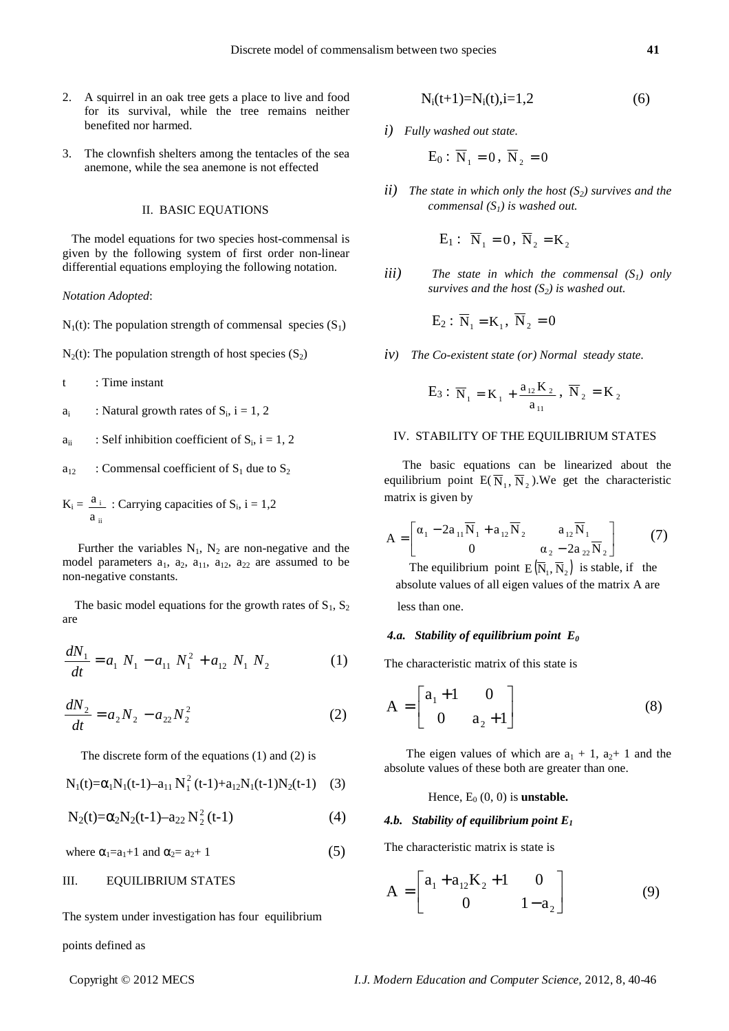- 2. A squirrel in an oak tree gets a place to live and food for its survival, while the tree remains neither benefited nor harmed.
- 3. The clownfish shelters among the tentacles of the sea anemone, while the sea anemone is not effected

## II. BASIC EQUATIONS

 The model equations for two species host-commensal is given by the following system of first order non-linear differential equations employing the following notation.

## *Notation Adopted*:

- $N_1(t)$ : The population strength of commensal species  $(S_1)$
- $N_2(t)$ : The population strength of host species  $(S_2)$
- t : Time instant
- ai : Natural growth rates of  $S_i$ ,  $i = 1, 2$
- $a_{ii}$  : Self inhibition coefficient of  $S_i$ , i = 1, 2
- $a_{12}$  : Commensal coefficient of  $S_1$  due to  $S_2$
- $K_i = \frac{a_i}{n}$ : Carrying capacities of  $S_i$ ,  $i = 1,2$ ii a

Further the variables  $N_1$ ,  $N_2$  are non-negative and the model parameters  $a_1$ ,  $a_2$ ,  $a_{11}$ ,  $a_{12}$ ,  $a_{22}$  are assumed to be non-negative constants.

The basic model equations for the growth rates of  $S_1$ ,  $S_2$ are

$$
\frac{dN_1}{dt} = a_1 N_1 - a_{11} N_1^2 + a_{12} N_1 N_2 \tag{1}
$$

$$
\frac{dN_2}{dt} = a_2 N_2 - a_{22} N_2^2 \tag{2}
$$

The discrete form of the equations (1) and (2) is

$$
N_1(t) = \alpha_1 N_1(t-1) - a_{11} N_1^2(t-1) + a_{12} N_1(t-1) N_2(t-1)
$$
 (3)

$$
N_2(t)=\alpha_2N_2(t-1)-a_{22}N_2^2(t-1) \qquad \qquad (4)
$$

where  $\alpha_1 = a_1 + 1$  and  $\alpha_2 = a_2 + 1$  (5)

# III. EQUILIBRIUM STATES

The system under investigation has four equilibrium

## points defined as

$$
N_i(t+1)=N_i(t), i=1,2
$$
 (6)

*i) Fully washed out state.* 

$$
\mathrm{E}_0:~\overline{\mathrm{N}}_1 = 0~,~\overline{\mathrm{N}}_2 = 0
$$

*ii) The state in which only the host (S2) survives and the commensal (S1) is washed out.*

$$
\mathbf{E}_1: \ \overline{\mathbf{N}}_1 = \mathbf{0}, \ \overline{\mathbf{N}}_2 = \mathbf{K}_2
$$

*iii*) The state in which the commensal  $(S<sub>1</sub>)$  only *survives and the host (S2) is washed out.*

$$
\mathbf{E}_2: \ \overline{\mathbf{N}}_1 = \mathbf{K}_1, \ \overline{\mathbf{N}}_2 = 0
$$

*iv) The Co-existent state (or) Normal steady state.* 

$$
E_3: \overline{N}_1 = K_1 + \frac{a_{12}K_2}{a_{11}}, \ \overline{N}_2 = K_2
$$

# IV.STABILITY OF THE EQUILIBRIUM STATES

 The basic equations can be linearized about the equilibrium point  $E(\overline{N}_1, \overline{N}_2)$ . We get the characteristic matrix is given by

$$
A = \begin{bmatrix} \alpha_1 - 2a_{11} \overline{N}_1 + a_{12} \overline{N}_2 & a_{12} \overline{N}_1 \\ 0 & \alpha_2 - 2a_{22} \overline{N}_2 \end{bmatrix}
$$
 (7)

The equilibrium point  $E(\overline{N}_1, \overline{N}_2)$  is stable, if the absolute values of all eigen values of the matrix A are less than one.

# *4.a. Stability of equilibrium point**E<sup>0</sup>*

The characteristic matrix of this state is

$$
A = \begin{bmatrix} a_1 + 1 & 0 \\ 0 & a_2 + 1 \end{bmatrix}
$$
 (8)

The eigen values of which are  $a_1 + 1$ ,  $a_2 + 1$  and the absolute values of these both are greater than one.

Hence,  $E_0(0, 0)$  is **unstable.** 

#### *4.b. Stability of equilibrium point E<sup>1</sup>*

The characteristic matrix is state is

$$
A = \begin{bmatrix} a_1 + a_{12}K_2 + 1 & 0 \\ 0 & 1 - a_2 \end{bmatrix}
$$
 (9)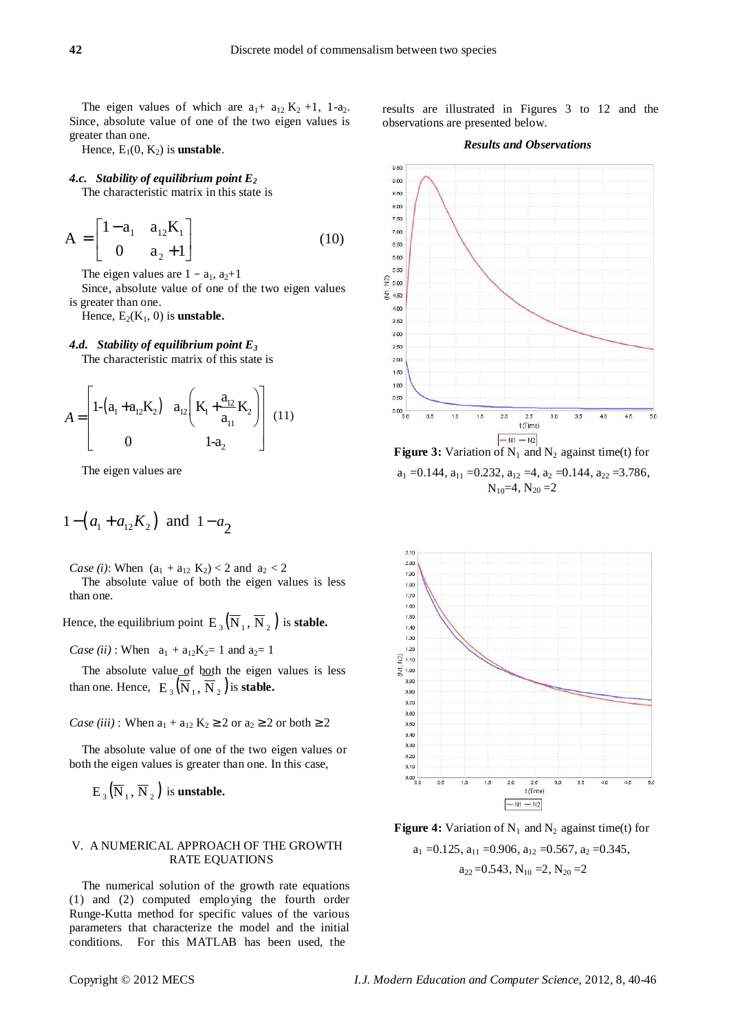The eigen values of which are  $a_1$ +  $a_{12}$  K<sub>2</sub> +1, 1-a<sub>2</sub>. Since, absolute value of one of the two eigen values is greater than one.

Hence,  $E_1(0, K_2)$  is **unstable**.

#### *4.c. Stability of equilibrium point E<sup>2</sup>*

The characteristic matrix in this state is

$$
A = \begin{bmatrix} 1 - a_1 & a_{12}K_1 \\ 0 & a_2 + 1 \end{bmatrix}
$$
 (10)

The eigen values are  $1 - a_1$ ,  $a_2+1$ 

Since, absolute value of one of the two eigen values is greater than one.

Hence,  $E_2(K_1, 0)$  is **unstable.** 

## *4.d. Stability of equilibrium point E<sup>3</sup>*

The characteristic matrix of this state is

$$
A = \begin{bmatrix} 1 - (a_1 + a_{12}K_2) & a_{12} \left( K_1 + \frac{a_{12}}{a_{11}} K_2 \right) & (11) \\ 0 & 1 - a_2 \end{bmatrix}
$$

The eigen values are

$$
1 - (a_1 + a_{12}K_2)
$$
 and  $1 - a_2$ 

*Case (i)*: When  $(a_1 + a_{12} K_2) < 2$  and  $a_2 < 2$ 

The absolute value of both the eigen values is less than one.

Hence, the equilibrium point  $E_3(\overline{N}_1, \overline{N}_2)$  is **stable.** 

*Case (ii)* : When  $a_1 + a_{12}K_2 = 1$  and  $a_2 = 1$ 

The absolute value of both the eigen values is less than one. Hence,  $E_3(\overline{N}_1, \overline{N}_2)$  is **stable.** 

*Case (iii)* : When  $a_1 + a_{12} K_2 \ge 2$  or  $a_2 \ge 2$  or both  $\ge 2$ 

The absolute value of one of the two eigen values or both the eigen values is greater than one. In this case,

 $E_3(\overline{N}_1, \overline{N}_2)$  is **unstable.** 

# V. A NUMERICAL APPROACH OF THE GROWTH RATE EQUATIONS

The numerical solution of the growth rate equations (1) and (2) computed emplo ying the fourth order Runge-Kutta method for specific values of the various parameters that characterize the model and the initial conditions. For this MATLAB has been used, the

results are illustrated in Figures 3 to 12 and the observations are presented below.

# *Results and Observations*



**Figure 3:** Variation of  $N_1$  and  $N_2$  against time(t) for  $a_1 = 0.144$ ,  $a_{11} = 0.232$ ,  $a_{12} = 4$ ,  $a_2 = 0.144$ ,  $a_{22} = 3.786$ ,  $N_{10}=4$ ,  $N_{20}=2$ 



**Figure 4:** Variation of  $N_1$  and  $N_2$  against time(t) for  $a_1 = 0.125$ ,  $a_{11} = 0.906$ ,  $a_{12} = 0.567$ ,  $a_2 = 0.345$ ,  $a_{22} = 0.543$ ,  $N_{10} = 2$ ,  $N_{20} = 2$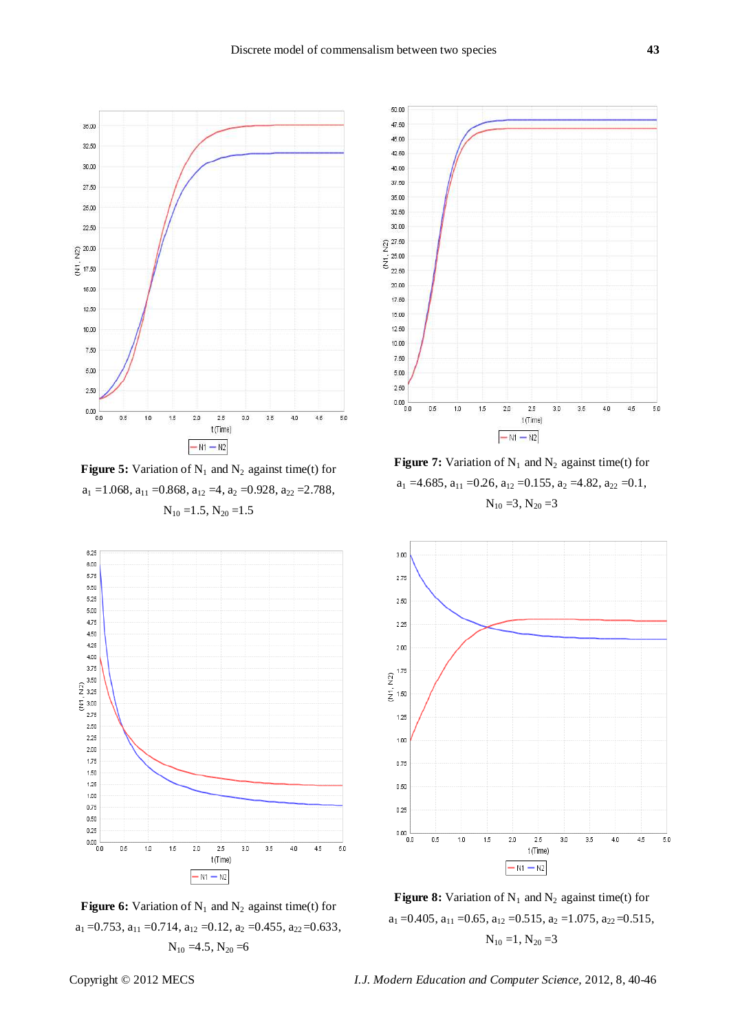

**Figure 5:** Variation of  $N_1$  and  $N_2$  against time(t) for  $a_1 = 1.068$ ,  $a_{11} = 0.868$ ,  $a_{12} = 4$ ,  $a_2 = 0.928$ ,  $a_{22} = 2.788$ ,  $N_{10} = 1.5, N_{20} = 1.5$ 







**Figure 7:** Variation of  $N_1$  and  $N_2$  against time(t) for  $a_1 = 4.685$ ,  $a_{11} = 0.26$ ,  $a_{12} = 0.155$ ,  $a_2 = 4.82$ ,  $a_{22} = 0.1$ ,  $N_{10} = 3, N_{20} = 3$ 



**Figure 8:** Variation of  $N_1$  and  $N_2$  against time(t) for  $a_1 = 0.405$ ,  $a_{11} = 0.65$ ,  $a_{12} = 0.515$ ,  $a_2 = 1.075$ ,  $a_{22} = 0.515$ ,  $N_{10} = 1$ ,  $N_{20} = 3$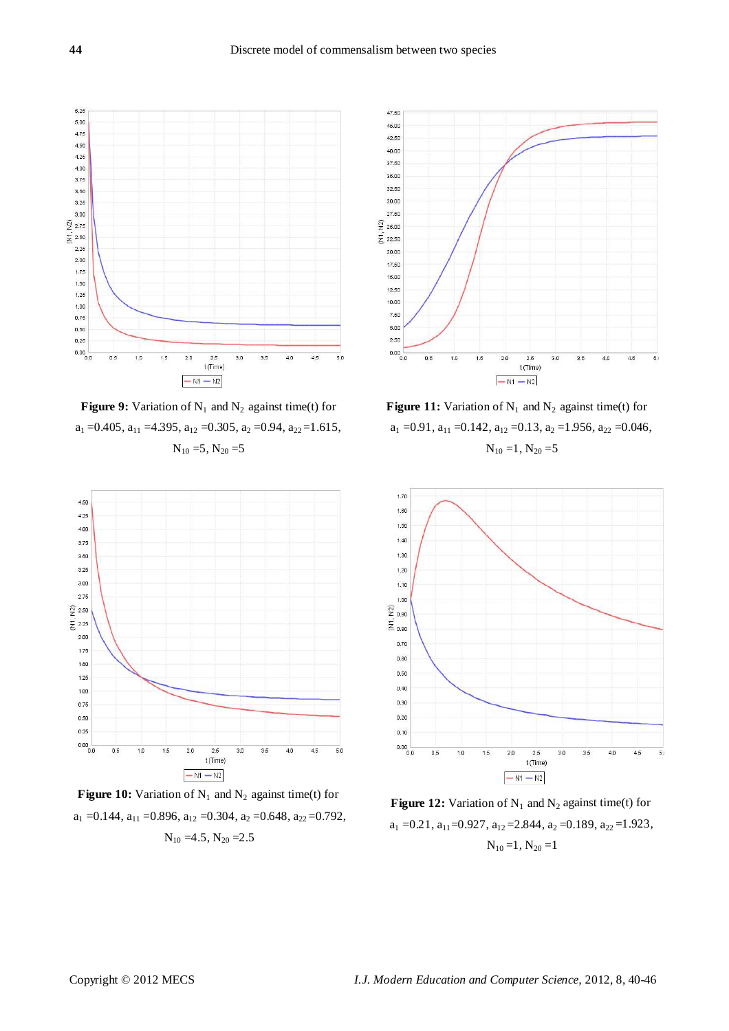

**Figure 9:** Variation of  $N_1$  and  $N_2$  against time(t) for  $a_1 = 0.405$ ,  $a_{11} = 4.395$ ,  $a_{12} = 0.305$ ,  $a_2 = 0.94$ ,  $a_{22} = 1.615$ ,  $N_{10} = 5$ ,  $N_{20} = 5$ 



**Figure 10:** Variation of  $N_1$  and  $N_2$  against time(t) for  $a_1 = 0.144$ ,  $a_{11} = 0.896$ ,  $a_{12} = 0.304$ ,  $a_2 = 0.648$ ,  $a_{22} = 0.792$ ,



**Figure 11:** Variation of  $N_1$  and  $N_2$  against time(t) for  $a_1 = 0.91$ ,  $a_{11} = 0.142$ ,  $a_{12} = 0.13$ ,  $a_2 = 1.956$ ,  $a_{22} = 0.046$ ,  $N_{10} = 1, N_{20} = 5$ 



**Figure 12:** Variation of  $N_1$  and  $N_2$  against time(t) for  $a_1 = 0.21$ ,  $a_{11} = 0.927$ ,  $a_{12} = 2.844$ ,  $a_2 = 0.189$ ,  $a_{22} = 1.923$ ,  $N_{10} = 4.5, N_{20} = 2.5$ <br> $N_{10} = 1, N_{20} = 1$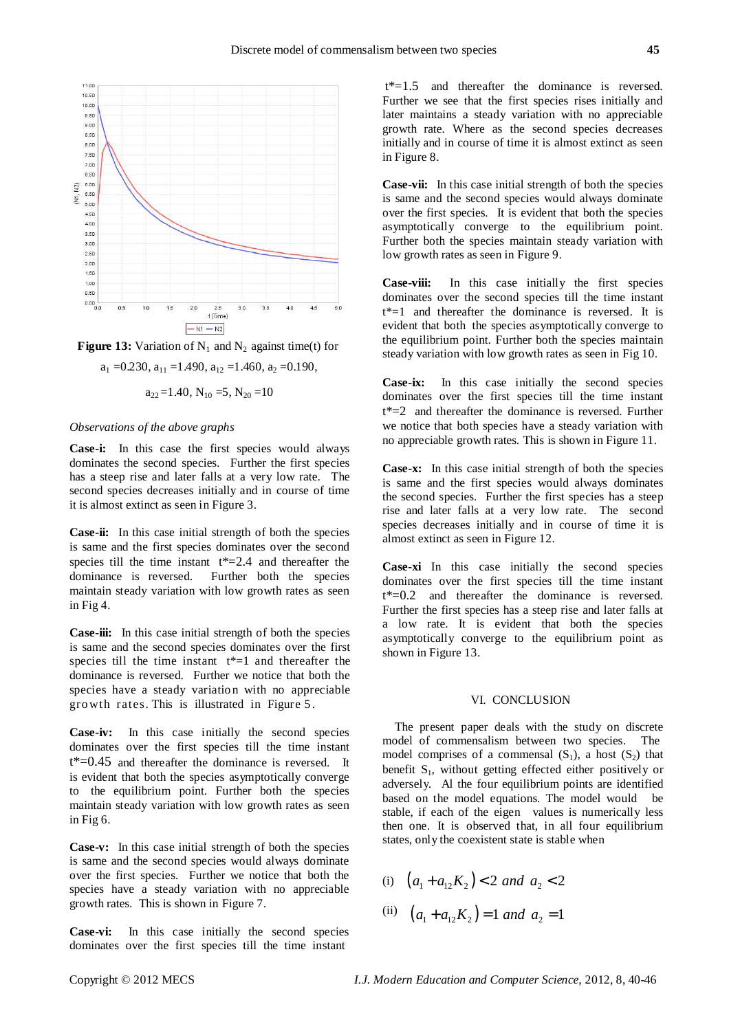



$$
a_1 = 0.230
$$
,  $a_{11} = 1.490$ ,  $a_{12} = 1.460$ ,  $a_2 = 0.190$ ,

$$
a_{22}=1.40
$$
,  $N_{10}=5$ ,  $N_{20}=10$ 

## *Observations of the above graphs*

**Case-i:** In this case the first species would always dominates the second species. Further the first species has a steep rise and later falls at a very low rate. The second species decreases initially and in course of time it is almost extinct as seen in Figure 3.

**Case-ii:** In this case initial strength of both the species is same and the first species dominates over the second species till the time instant  $t^*=2.4$  and thereafter the dominance is reversed. Further both the species maintain steady variation with low growth rates as seen in Fig 4.

**Case-iii:** In this case initial strength of both the species is same and the second species dominates over the first species till the time instant  $t^*=1$  and thereafter the dominance is reversed. Further we notice that both the species have a steady variation with no appreciable growth rates. This is illustrated in Figure 5.

**Case-iv:** In this case initially the second species dominates over the first species till the time instant  $t^*=0.45$  and thereafter the dominance is reversed. It is evident that both the species asymptotically converge to the equilibrium point. Further both the species maintain steady variation with low growth rates as seen in Fig 6.

**Case-v:** In this case initial strength of both the species is same and the second species would always dominate over the first species. Further we notice that both the species have a steady variation with no appreciable growth rates. This is shown in Figure 7.

**Case-vi:** In this case initially the second species dominates over the first species till the time instant

 $t^*=1.5$  and thereafter the dominance is reversed. Further we see that the first species rises initially and later maintains a steady variation with no appreciable growth rate. Where as the second species decreases initially and in course of time it is almost extinct as seen in Figure 8.

**Case-vii:** In this case initial strength of both the species is same and the second species would always dominate over the first species. It is evident that both the species asymptotically converge to the equilibrium point. Further both the species maintain steady variation with low growth rates as seen in Figure 9.

**Case-viii:** In this case initially the first species dominates over the second species till the time instant  $t^*=1$  and thereafter the dominance is reversed. It is evident that both the species asymptotically converge to the equilibrium point. Further both the species maintain steady variation with low growth rates as seen in Fig 10.

**Case-ix:** In this case initially the second species dominates over the first species till the time instant t\*=2 and thereafter the dominance is reversed. Further we notice that both species have a steady variation with no appreciable growth rates. This is shown in Figure 11.

**Case-x:** In this case initial strength of both the species is same and the first species would always dominates the second species. Further the first species has a steep rise and later falls at a very low rate. The second species decreases initially and in course of time it is almost extinct as seen in Figure 12.

**Case-xi** In this case initially the second species dominates over the first species till the time instant t\*=0.2 and thereafter the dominance is reversed. Further the first species has a steep rise and later falls at a low rate. It is evident that both the species asymptotically converge to the equilibrium point as shown in Figure 13.

### VI. CONCLUSION

The present paper deals with the study on discrete model of commensalism between two species. The model comprises of a commensal  $(S_1)$ , a host  $(S_2)$  that benefit  $S_1$ , without getting effected either positively or adversely. Al the four equilibrium points are identified based on the model equations. The model would be stable, if each of the eigen values is numerically less then one. It is observed that, in all four equilibrium states, only the coexistent state is stable when

- (i)  $(a_1 + a_2, K_2) < 2$  *and*  $a_2 < 2$
- (ii)  $(a_1 + a_{12} K_2) = 1$  and  $a_2 = 1$